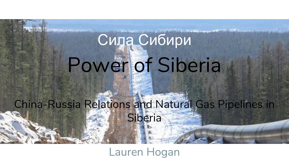# Power of Siberia Сила Сибири

### China-Russia Relations and Natural Gas Pipelines in Siberia

Lauren Hogan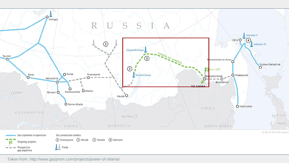

Taken from: http://www.gazprom.com/projects/power-of-siberia/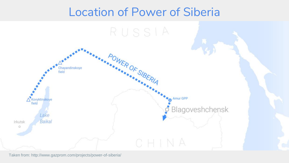### Location of Power of Siberia



Taken from: http://www.gazprom.com/projects/power-of-siberia/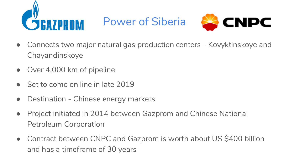

Power of Siberia



- Connects two major natural gas production centers Kovyktinskoye and Chayandinskoye
- Over 4,000 km of pipeline
- Set to come on line in late 2019
- Destination Chinese energy markets
- Project initiated in 2014 between Gazprom and Chinese National Petroleum Corporation
- Contract between CNPC and Gazprom is worth about US \$400 billion and has a timeframe of 30 years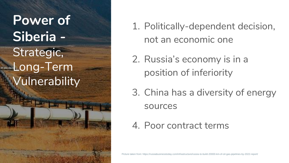## **Power of Siberia -** Strategic, Long-Term Vulnerability

- 1. Politically-dependent decision, not an economic one
- 2. Russia's economy is in a position of inferiority
- 3. China has a diversity of energy sources
- 4. Poor contract terms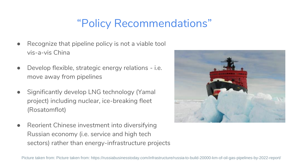### "Policy Recommendations"

- Recognize that pipeline policy is not a viable tool vis-a-vis China
- Develop flexible, strategic energy relations i.e. move away from pipelines
- Significantly develop LNG technology (Yamal project) including nuclear, ice-breaking fleet (Rosatomflot)
- Reorient Chinese investment into diversifying Russian economy (i.e. service and high tech sectors) rather than energy-infrastructure projects

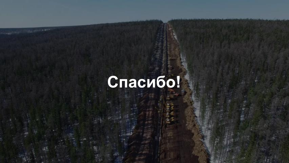# **Спасибо!**